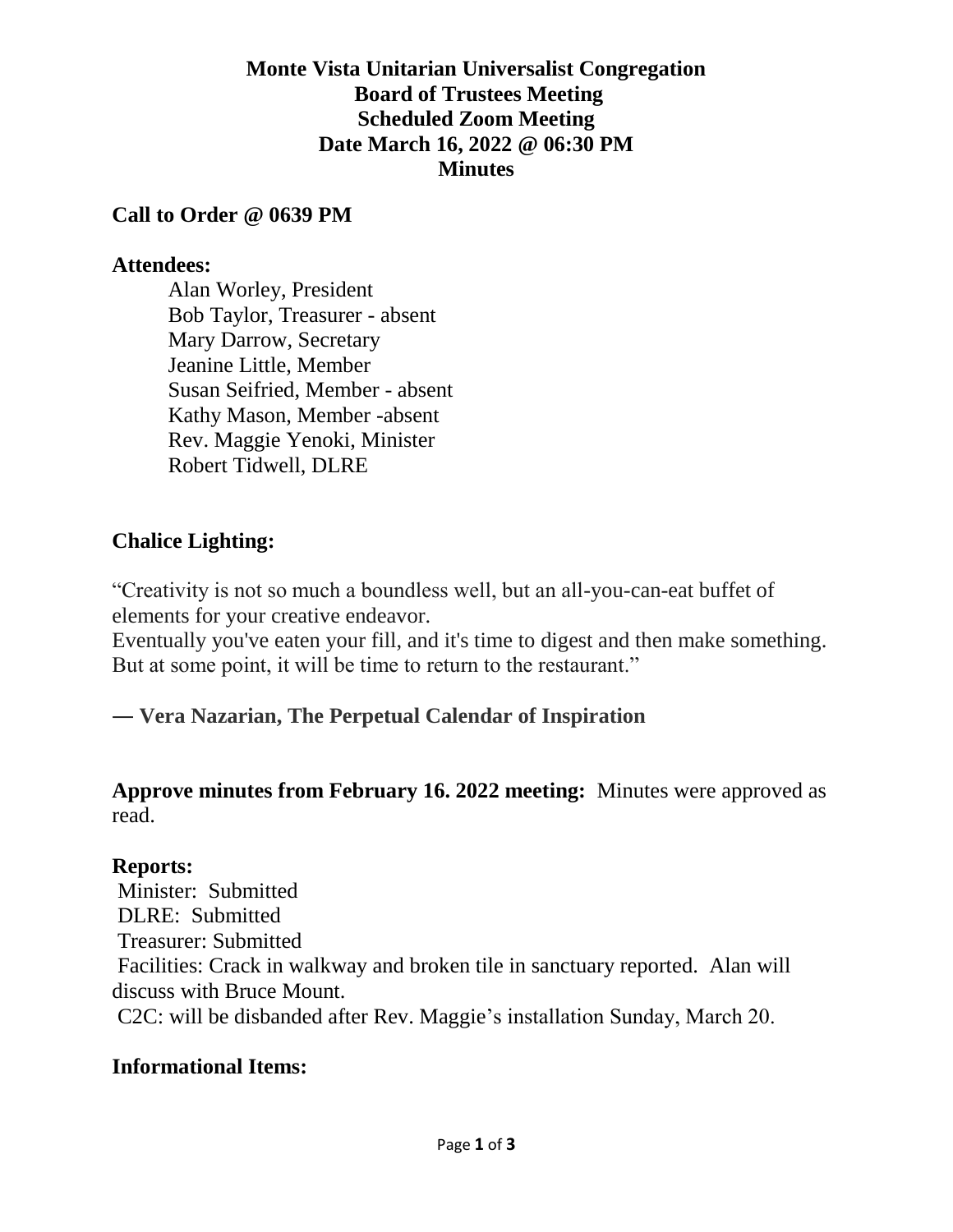### **Monte Vista Unitarian Universalist Congregation Board of Trustees Meeting Scheduled Zoom Meeting Date March 16, 2022 @ 06:30 PM Minutes**

#### **Call to Order @ 0639 PM**

#### **Attendees:**

Alan Worley, President Bob Taylor, Treasurer - absent Mary Darrow, Secretary Jeanine Little, Member Susan Seifried, Member - absent Kathy Mason, Member -absent Rev. Maggie Yenoki, Minister Robert Tidwell, DLRE

### **Chalice Lighting:**

"Creativity is not so much a boundless well, but an all-you-can-eat buffet of elements for your creative endeavor.

Eventually you've eaten your fill, and it's time to digest and then make something. But at some point, it will be time to return to the restaurant."

#### ― **Vera Nazarian, [The Perpetual Calendar of Inspiration](https://www.goodreads.com/work/quotes/14364793)**

### **Approve minutes from February 16. 2022 meeting:** Minutes were approved as read.

#### **Reports:**

Minister: Submitted DLRE: Submitted Treasurer: Submitted Facilities: Crack in walkway and broken tile in sanctuary reported. Alan will discuss with Bruce Mount. C2C: will be disbanded after Rev. Maggie's installation Sunday, March 20.

#### **Informational Items:**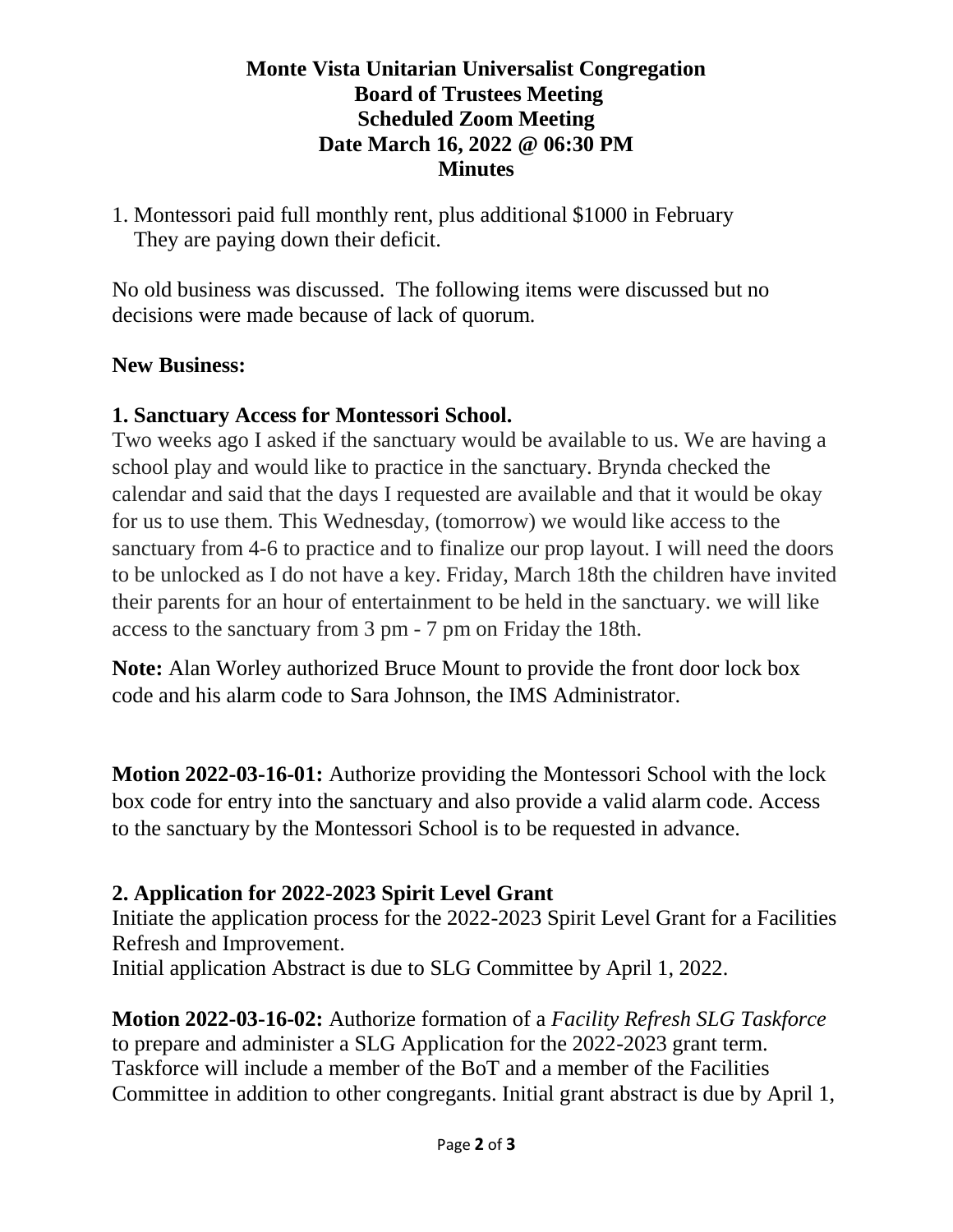## **Monte Vista Unitarian Universalist Congregation Board of Trustees Meeting Scheduled Zoom Meeting Date March 16, 2022 @ 06:30 PM Minutes**

1. Montessori paid full monthly rent, plus additional \$1000 in February They are paying down their deficit.

No old business was discussed. The following items were discussed but no decisions were made because of lack of quorum.

### **New Business:**

### **1. Sanctuary Access for Montessori School.**

Two weeks ago I asked if the sanctuary would be available to us. We are having a school play and would like to practice in the sanctuary. Brynda checked the calendar and said that the days I requested are available and that it would be okay for us to use them. This Wednesday, (tomorrow) we would like access to the sanctuary from 4-6 to practice and to finalize our prop layout. I will need the doors to be unlocked as I do not have a key. Friday, March 18th the children have invited their parents for an hour of entertainment to be held in the sanctuary. we will like access to the sanctuary from 3 pm - 7 pm on Friday the 18th.

**Note:** Alan Worley authorized Bruce Mount to provide the front door lock box code and his alarm code to Sara Johnson, the IMS Administrator.

**Motion 2022-03-16-01:** Authorize providing the Montessori School with the lock box code for entry into the sanctuary and also provide a valid alarm code. Access to the sanctuary by the Montessori School is to be requested in advance.

#### **2. Application for 2022-2023 Spirit Level Grant**

Initiate the application process for the 2022-2023 Spirit Level Grant for a Facilities Refresh and Improvement.

Initial application Abstract is due to SLG Committee by April 1, 2022.

**Motion 2022-03-16-02:** Authorize formation of a *Facility Refresh SLG Taskforce* to prepare and administer a SLG Application for the 2022-2023 grant term. Taskforce will include a member of the BoT and a member of the Facilities Committee in addition to other congregants. Initial grant abstract is due by April 1,